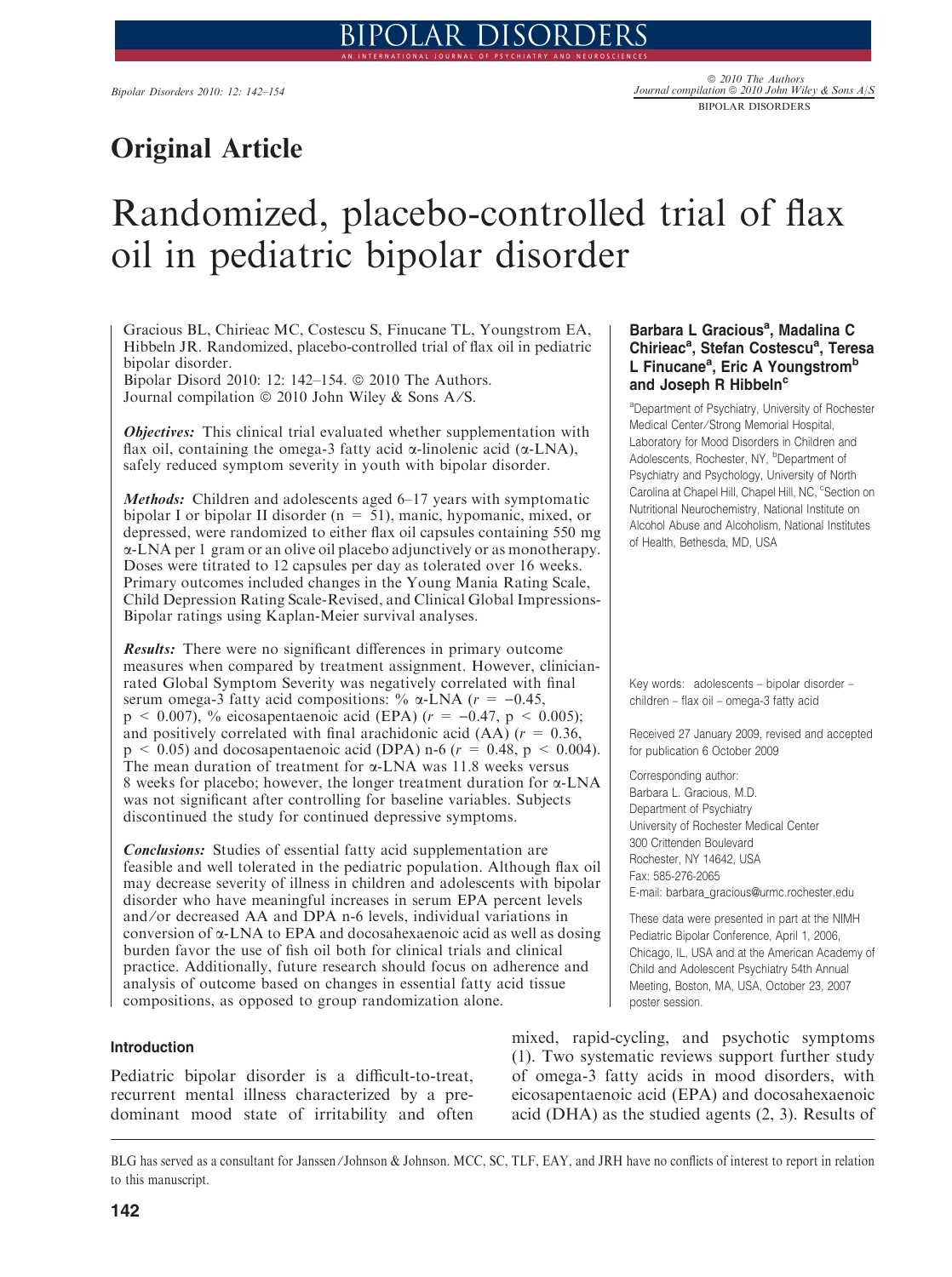# Original Article

# Randomized, placebo-controlled trial of flax oil in pediatric bipolar disorder

Gracious BL, Chirieac MC, Costescu S, Finucane TL, Youngstrom EA, Hibbeln JR. Randomized, placebo-controlled trial of flax oil in pediatric bipolar disorder.

Bipolar Disord 2010: 12: 142-154. @ 2010 The Authors. Journal compilation  $\circledcirc$  2010 John Wiley & Sons A/S.

*Objectives:* This clinical trial evaluated whether supplementation with flax oil, containing the omega-3 fatty acid  $\alpha$ -linolenic acid ( $\alpha$ -LNA), safely reduced symptom severity in youth with bipolar disorder.

Methods: Children and adolescents aged 6-17 years with symptomatic bipolar I or bipolar II disorder (n = 51), manic, hypomanic, mixed, or depressed, were randomized to either flax oil capsules containing 550 mg a-LNA per 1 gram or an olive oil placebo adjunctively or as monotherapy. Doses were titrated to 12 capsules per day as tolerated over 16 weeks. Primary outcomes included changes in the Young Mania Rating Scale, Child Depression Rating Scale-Revised, and Clinical Global Impressions-Bipolar ratings using Kaplan-Meier survival analyses.

Results: There were no significant differences in primary outcome measures when compared by treatment assignment. However, clinicianrated Global Symptom Severity was negatively correlated with final serum omega-3 fatty acid compositions: %  $\alpha$ -LNA ( $r = -0.45$ ,  $p \le 0.007$ , % eicosapentaenoic acid (EPA) ( $r = -0.47$ ,  $p \le 0.005$ ); and positively correlated with final arachidonic acid (AA) ( $r = 0.36$ ,  $p \le 0.05$ ) and docosapentaenoic acid (DPA) n-6 ( $r = 0.48$ ,  $p \le 0.004$ ). The mean duration of treatment for  $\alpha$ -LNA was 11.8 weeks versus 8 weeks for placebo; however, the longer treatment duration for a-LNA was not significant after controlling for baseline variables. Subjects discontinued the study for continued depressive symptoms.

Conclusions: Studies of essential fatty acid supplementation are feasible and well tolerated in the pediatric population. Although flax oil may decrease severity of illness in children and adolescents with bipolar disorder who have meaningful increases in serum EPA percent levels and/or decreased AA and DPA n-6 levels, individual variations in conversion of a-LNA to EPA and docosahexaenoic acid as well as dosing burden favor the use of fish oil both for clinical trials and clinical practice. Additionally, future research should focus on adherence and analysis of outcome based on changes in essential fatty acid tissue compositions, as opposed to group randomization alone.

#### Introduction

Pediatric bipolar disorder is a difficult-to-treat, recurrent mental illness characterized by a predominant mood state of irritability and often

# Barbara L Gracious<sup>a</sup>, Madalina C Chirieac<sup>a</sup>, Stefan Costescu<sup>a</sup>, Teresa L Finucane<sup>a</sup>, Eric A Youngstrom<sup>b</sup> and Joseph R Hibbeln<sup>c</sup>

a Department of Psychiatry, University of Rochester Medical Center/Strong Memorial Hospital, Laboratory for Mood Disorders in Children and Adolescents, Rochester, NY, <sup>b</sup>Department of Psychiatry and Psychology, University of North Carolina at Chapel Hill, Chapel Hill, NC, <sup>c</sup>Section on Nutritional Neurochemistry, National Institute on Alcohol Abuse and Alcoholism, National Institutes of Health, Bethesda, MD, USA

Key words: adolescents – bipolar disorder – children – flax oil – omega-3 fatty acid

Received 27 January 2009, revised and accepted for publication 6 October 2009

Corresponding author: Barbara L. Gracious, M.D. Department of Psychiatry University of Rochester Medical Center 300 Crittenden Boulevard Rochester, NY 14642, USA Fax: 585-276-2065 E-mail: barbara\_gracious@urmc.rochester.edu

These data were presented in part at the NIMH Pediatric Bipolar Conference, April 1, 2006, Chicago, IL, USA and at the American Academy of Child and Adolescent Psychiatry 54th Annual Meeting, Boston, MA, USA, October 23, 2007 poster session.

mixed, rapid-cycling, and psychotic symptoms (1). Two systematic reviews support further study of omega-3 fatty acids in mood disorders, with eicosapentaenoic acid (EPA) and docosahexaenoic acid (DHA) as the studied agents (2, 3). Results of

BLG has served as a consultant for Janssen ⁄ Johnson & Johnson. MCC, SC, TLF, EAY, and JRH have no conflicts of interest to report in relation to this manuscript.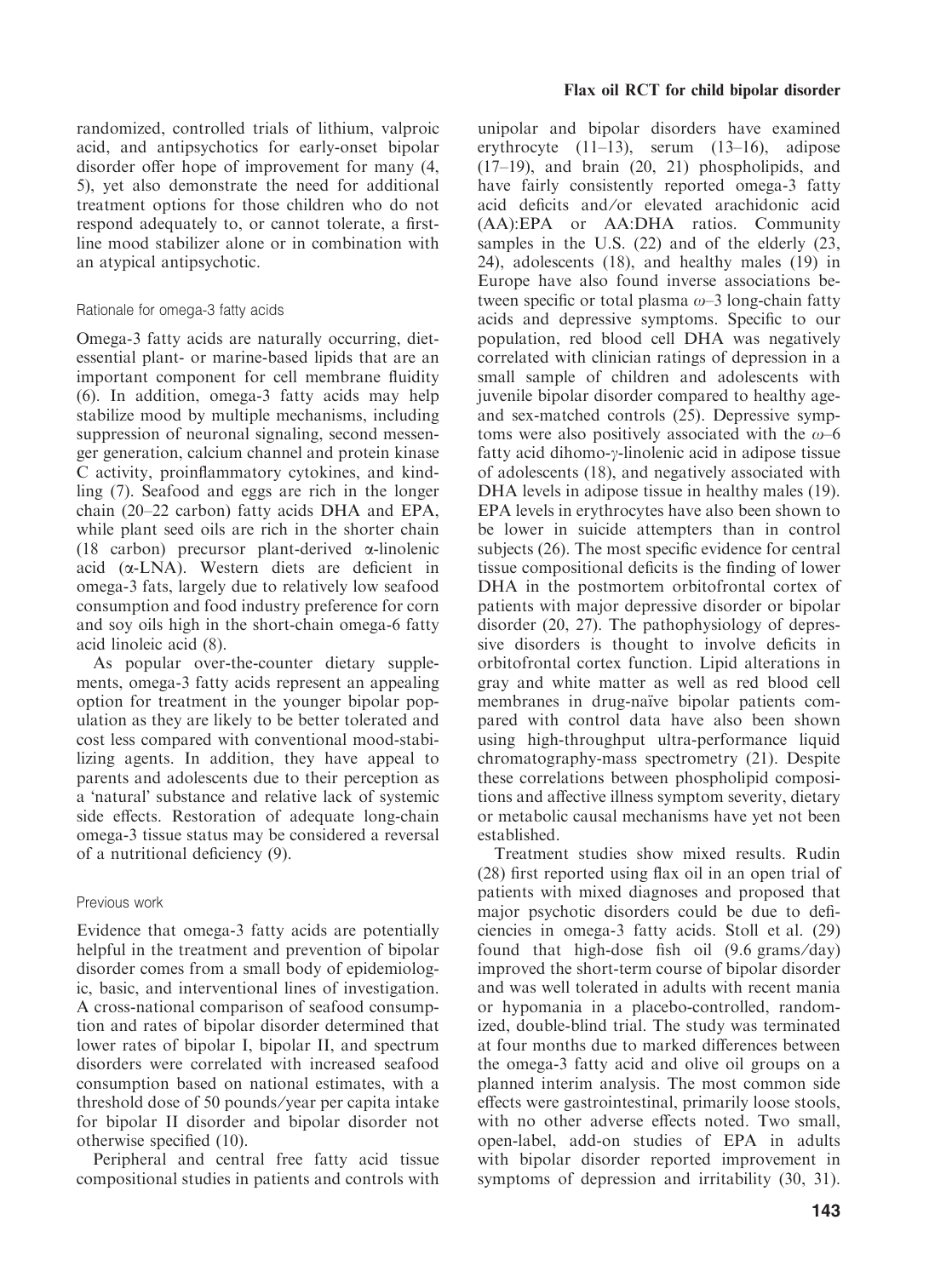randomized, controlled trials of lithium, valproic acid, and antipsychotics for early-onset bipolar disorder offer hope of improvement for many (4, 5), yet also demonstrate the need for additional treatment options for those children who do not respond adequately to, or cannot tolerate, a firstline mood stabilizer alone or in combination with an atypical antipsychotic.

# Rationale for omega-3 fatty acids

Omega-3 fatty acids are naturally occurring, dietessential plant- or marine-based lipids that are an important component for cell membrane fluidity (6). In addition, omega-3 fatty acids may help stabilize mood by multiple mechanisms, including suppression of neuronal signaling, second messenger generation, calcium channel and protein kinase C activity, proinflammatory cytokines, and kindling (7). Seafood and eggs are rich in the longer chain (20–22 carbon) fatty acids DHA and EPA, while plant seed oils are rich in the shorter chain (18 carbon) precursor plant-derived  $\alpha$ -linolenic acid  $(\alpha$ -LNA). Western diets are deficient in omega-3 fats, largely due to relatively low seafood consumption and food industry preference for corn and soy oils high in the short-chain omega-6 fatty acid linoleic acid (8).

As popular over-the-counter dietary supplements, omega-3 fatty acids represent an appealing option for treatment in the younger bipolar population as they are likely to be better tolerated and cost less compared with conventional mood-stabilizing agents. In addition, they have appeal to parents and adolescents due to their perception as a 'natural' substance and relative lack of systemic side effects. Restoration of adequate long-chain omega-3 tissue status may be considered a reversal of a nutritional deficiency (9).

#### Previous work

Evidence that omega-3 fatty acids are potentially helpful in the treatment and prevention of bipolar disorder comes from a small body of epidemiologic, basic, and interventional lines of investigation. A cross-national comparison of seafood consumption and rates of bipolar disorder determined that lower rates of bipolar I, bipolar II, and spectrum disorders were correlated with increased seafood consumption based on national estimates, with a threshold dose of 50 pounds ⁄ year per capita intake for bipolar II disorder and bipolar disorder not otherwise specified (10).

Peripheral and central free fatty acid tissue compositional studies in patients and controls with unipolar and bipolar disorders have examined erythrocyte  $(11-13)$ , serum  $(13-16)$ , adipose (17–19), and brain (20, 21) phospholipids, and have fairly consistently reported omega-3 fatty acid deficits and ⁄or elevated arachidonic acid (AA):EPA or AA:DHA ratios. Community samples in the U.S. (22) and of the elderly (23, 24), adolescents (18), and healthy males (19) in Europe have also found inverse associations between specific or total plasma  $\omega$ –3 long-chain fatty acids and depressive symptoms. Specific to our population, red blood cell DHA was negatively correlated with clinician ratings of depression in a small sample of children and adolescents with juvenile bipolar disorder compared to healthy ageand sex-matched controls (25). Depressive symptoms were also positively associated with the  $\omega$ –6 fatty acid dihomo- $\gamma$ -linolenic acid in adipose tissue of adolescents (18), and negatively associated with DHA levels in adipose tissue in healthy males (19). EPA levels in erythrocytes have also been shown to be lower in suicide attempters than in control subjects (26). The most specific evidence for central tissue compositional deficits is the finding of lower DHA in the postmortem orbitofrontal cortex of patients with major depressive disorder or bipolar disorder (20, 27). The pathophysiology of depressive disorders is thought to involve deficits in orbitofrontal cortex function. Lipid alterations in gray and white matter as well as red blood cell membranes in drug-naïve bipolar patients compared with control data have also been shown using high-throughput ultra-performance liquid chromatography-mass spectrometry (21). Despite these correlations between phospholipid compositions and affective illness symptom severity, dietary or metabolic causal mechanisms have yet not been established.

Treatment studies show mixed results. Rudin (28) first reported using flax oil in an open trial of patients with mixed diagnoses and proposed that major psychotic disorders could be due to deficiencies in omega-3 fatty acids. Stoll et al. (29) found that high-dose fish oil  $(9.6 \text{ grams/day})$ improved the short-term course of bipolar disorder and was well tolerated in adults with recent mania or hypomania in a placebo-controlled, randomized, double-blind trial. The study was terminated at four months due to marked differences between the omega-3 fatty acid and olive oil groups on a planned interim analysis. The most common side effects were gastrointestinal, primarily loose stools, with no other adverse effects noted. Two small, open-label, add-on studies of EPA in adults with bipolar disorder reported improvement in symptoms of depression and irritability (30, 31).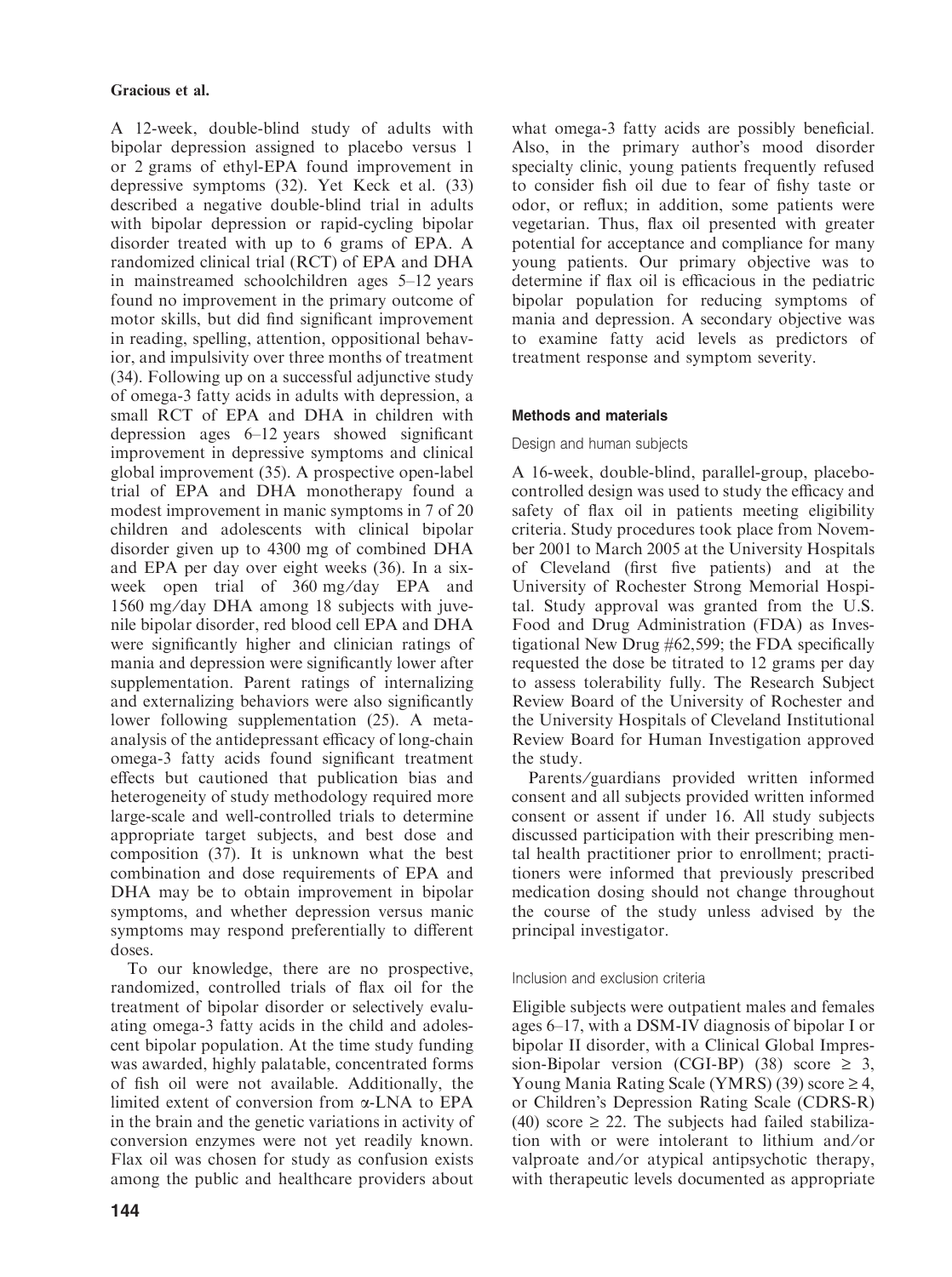A 12-week, double-blind study of adults with bipolar depression assigned to placebo versus 1 or 2 grams of ethyl-EPA found improvement in depressive symptoms (32). Yet Keck et al. (33) described a negative double-blind trial in adults with bipolar depression or rapid-cycling bipolar disorder treated with up to 6 grams of EPA. A randomized clinical trial (RCT) of EPA and DHA in mainstreamed schoolchildren ages 5–12 years found no improvement in the primary outcome of motor skills, but did find significant improvement in reading, spelling, attention, oppositional behavior, and impulsivity over three months of treatment (34). Following up on a successful adjunctive study of omega-3 fatty acids in adults with depression, a small RCT of EPA and DHA in children with depression ages 6–12 years showed significant improvement in depressive symptoms and clinical global improvement (35). A prospective open-label trial of EPA and DHA monotherapy found a modest improvement in manic symptoms in 7 of 20 children and adolescents with clinical bipolar disorder given up to 4300 mg of combined DHA and EPA per day over eight weeks (36). In a sixweek open trial of 360 mg/day EPA and 1560 mg ⁄day DHA among 18 subjects with juvenile bipolar disorder, red blood cell EPA and DHA were significantly higher and clinician ratings of mania and depression were significantly lower after supplementation. Parent ratings of internalizing and externalizing behaviors were also significantly lower following supplementation (25). A metaanalysis of the antidepressant efficacy of long-chain omega-3 fatty acids found significant treatment effects but cautioned that publication bias and heterogeneity of study methodology required more large-scale and well-controlled trials to determine appropriate target subjects, and best dose and composition (37). It is unknown what the best combination and dose requirements of EPA and DHA may be to obtain improvement in bipolar symptoms, and whether depression versus manic symptoms may respond preferentially to different doses.

To our knowledge, there are no prospective, randomized, controlled trials of flax oil for the treatment of bipolar disorder or selectively evaluating omega-3 fatty acids in the child and adolescent bipolar population. At the time study funding was awarded, highly palatable, concentrated forms of fish oil were not available. Additionally, the limited extent of conversion from a-LNA to EPA in the brain and the genetic variations in activity of conversion enzymes were not yet readily known. Flax oil was chosen for study as confusion exists among the public and healthcare providers about what omega-3 fatty acids are possibly beneficial. Also, in the primary author's mood disorder specialty clinic, young patients frequently refused to consider fish oil due to fear of fishy taste or odor, or reflux; in addition, some patients were vegetarian. Thus, flax oil presented with greater potential for acceptance and compliance for many young patients. Our primary objective was to determine if flax oil is efficacious in the pediatric bipolar population for reducing symptoms of mania and depression. A secondary objective was to examine fatty acid levels as predictors of treatment response and symptom severity.

# Methods and materials

# Design and human subjects

A 16-week, double-blind, parallel-group, placebocontrolled design was used to study the efficacy and safety of flax oil in patients meeting eligibility criteria. Study procedures took place from November 2001 to March 2005 at the University Hospitals of Cleveland (first five patients) and at the University of Rochester Strong Memorial Hospital. Study approval was granted from the U.S. Food and Drug Administration (FDA) as Investigational New Drug #62,599; the FDA specifically requested the dose be titrated to 12 grams per day to assess tolerability fully. The Research Subject Review Board of the University of Rochester and the University Hospitals of Cleveland Institutional Review Board for Human Investigation approved the study.

Parents/guardians provided written informed consent and all subjects provided written informed consent or assent if under 16. All study subjects discussed participation with their prescribing mental health practitioner prior to enrollment; practitioners were informed that previously prescribed medication dosing should not change throughout the course of the study unless advised by the principal investigator.

# Inclusion and exclusion criteria

Eligible subjects were outpatient males and females ages 6–17, with a DSM-IV diagnosis of bipolar I or bipolar II disorder, with a Clinical Global Impression-Bipolar version (CGI-BP) (38) score  $\geq 3$ , Young Mania Rating Scale (YMRS) (39) score  $\geq 4$ , or Children's Depression Rating Scale (CDRS-R) (40) score  $\geq$  22. The subjects had failed stabilization with or were intolerant to lithium and/or valproate and ⁄or atypical antipsychotic therapy, with therapeutic levels documented as appropriate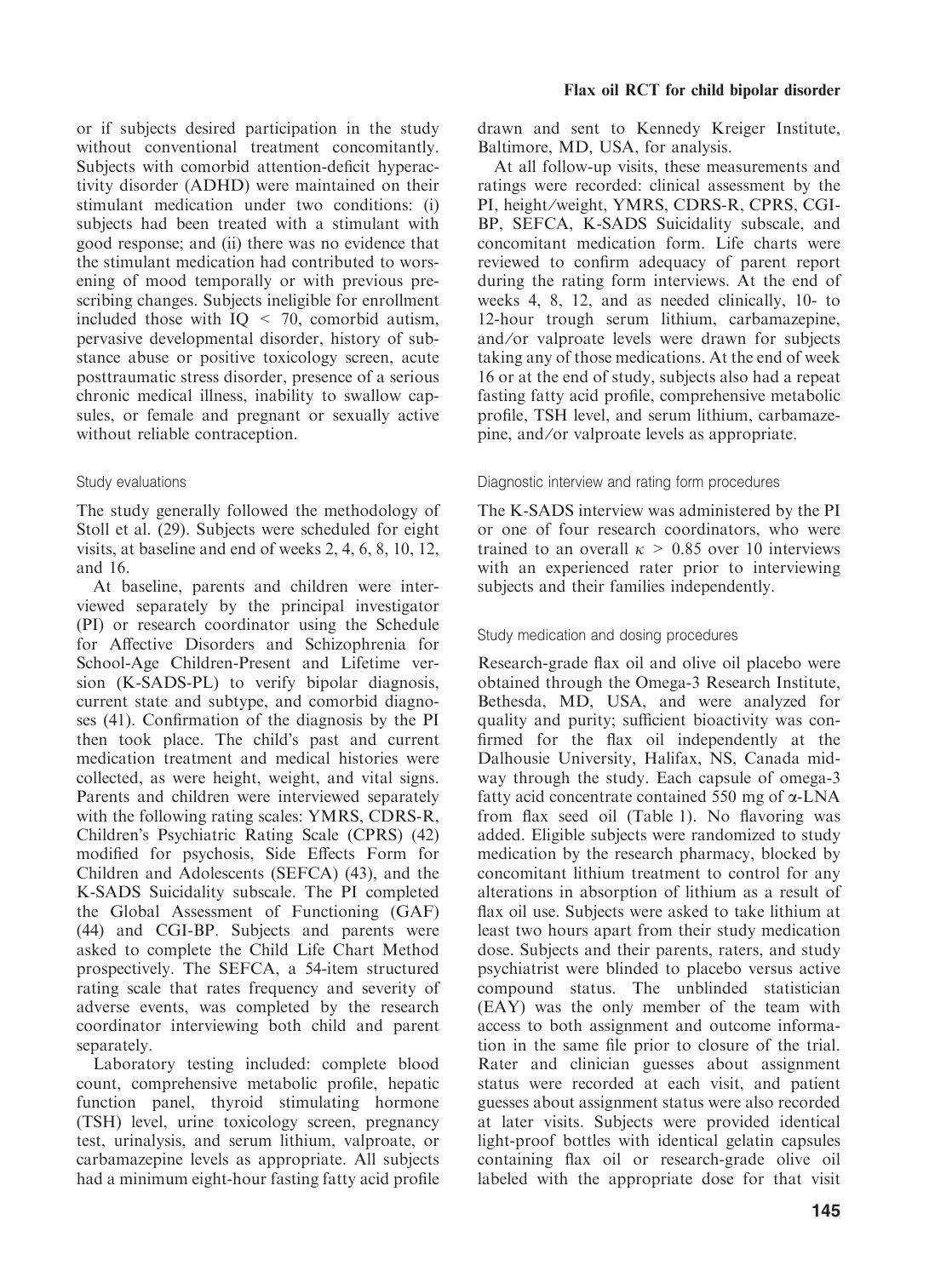or if subjects desired participation in the study without conventional treatment concomitantly. Subjects with comorbid attention-deficit hyperactivity disorder (ADHD) were maintained on their stimulant medication under two conditions: (i) subjects had been treated with a stimulant with good response; and (ii) there was no evidence that the stimulant medication had contributed to worsening of mood temporally or with previous prescribing changes. Subjects ineligible for enrollment included those with  $IO \leq 70$ , comorbid autism, pervasive developmental disorder, history of substance abuse or positive toxicology screen, acute posttraumatic stress disorder, presence of a serious chronic medical illness, inability to swallow capsules, or female and pregnant or sexually active without reliable contraception.

# Study evaluations

The study generally followed the methodology of Stoll et al. (29). Subjects were scheduled for eight visits, at baseline and end of weeks 2, 4, 6, 8, 10, 12, and 16.

At baseline, parents and children were interviewed separately by the principal investigator (PI) or research coordinator using the Schedule for Affective Disorders and Schizophrenia for School-Age Children-Present and Lifetime version (K-SADS-PL) to verify bipolar diagnosis, current state and subtype, and comorbid diagnoses (41). Confirmation of the diagnosis by the PI then took place. The child's past and current medication treatment and medical histories were collected, as were height, weight, and vital signs. Parents and children were interviewed separately with the following rating scales: YMRS, CDRS-R, Children's Psychiatric Rating Scale (CPRS) (42) modified for psychosis, Side Effects Form for Children and Adolescents (SEFCA) (43), and the K-SADS Suicidality subscale. The PI completed the Global Assessment of Functioning (GAF) (44) and CGI-BP. Subjects and parents were asked to complete the Child Life Chart Method prospectively. The SEFCA, a 54-item structured rating scale that rates frequency and severity of adverse events, was completed by the research coordinator interviewing both child and parent separately.

Laboratory testing included: complete blood count, comprehensive metabolic profile, hepatic function panel, thyroid stimulating hormone (TSH) level, urine toxicology screen, pregnancy test, urinalysis, and serum lithium, valproate, or carbamazepine levels as appropriate. All subjects had a minimum eight-hour fasting fatty acid profile drawn and sent to Kennedy Kreiger Institute, Baltimore, MD, USA, for analysis.

At all follow-up visits, these measurements and ratings were recorded: clinical assessment by the PI, height ⁄weight, YMRS, CDRS-R, CPRS, CGI-BP, SEFCA, K-SADS Suicidality subscale, and concomitant medication form. Life charts were reviewed to confirm adequacy of parent report during the rating form interviews. At the end of weeks 4, 8, 12, and as needed clinically, 10- to 12-hour trough serum lithium, carbamazepine, and ⁄or valproate levels were drawn for subjects taking any of those medications. At the end of week 16 or at the end of study, subjects also had a repeat fasting fatty acid profile, comprehensive metabolic profile, TSH level, and serum lithium, carbamazepine, and ⁄or valproate levels as appropriate.

# Diagnostic interview and rating form procedures

The K-SADS interview was administered by the PI or one of four research coordinators, who were trained to an overall  $\kappa > 0.85$  over 10 interviews with an experienced rater prior to interviewing subjects and their families independently.

# Study medication and dosing procedures

Research-grade flax oil and olive oil placebo were obtained through the Omega-3 Research Institute, Bethesda, MD, USA, and were analyzed for quality and purity; sufficient bioactivity was confirmed for the flax oil independently at the Dalhousie University, Halifax, NS, Canada midway through the study. Each capsule of omega-3 fatty acid concentrate contained 550 mg of  $\alpha$ -LNA from flax seed oil (Table 1). No flavoring was added. Eligible subjects were randomized to study medication by the research pharmacy, blocked by concomitant lithium treatment to control for any alterations in absorption of lithium as a result of flax oil use. Subjects were asked to take lithium at least two hours apart from their study medication dose. Subjects and their parents, raters, and study psychiatrist were blinded to placebo versus active compound status. The unblinded statistician (EAY) was the only member of the team with access to both assignment and outcome information in the same file prior to closure of the trial. Rater and clinician guesses about assignment status were recorded at each visit, and patient guesses about assignment status were also recorded at later visits. Subjects were provided identical light-proof bottles with identical gelatin capsules containing flax oil or research-grade olive oil labeled with the appropriate dose for that visit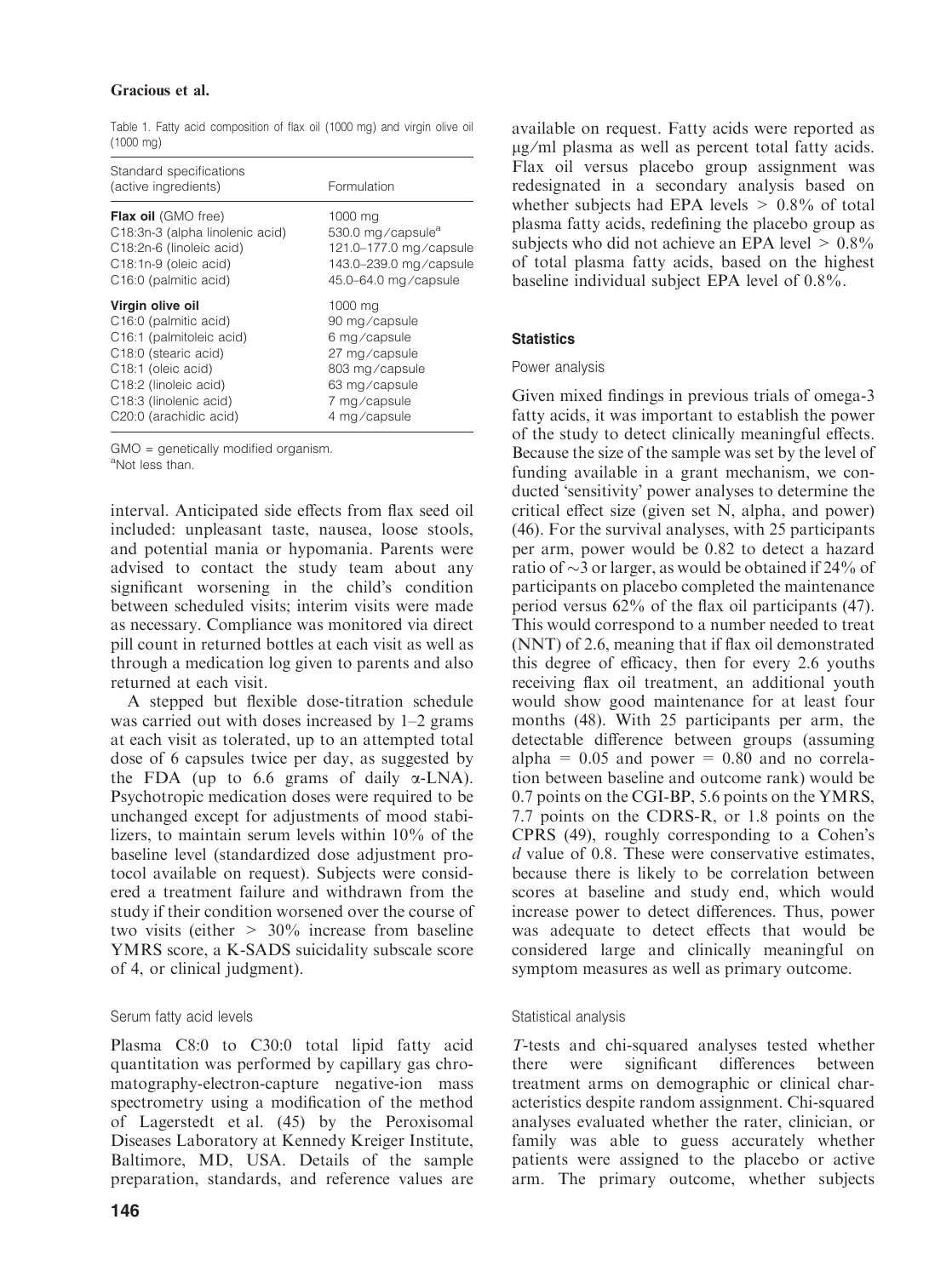# Gracious et al.

Table 1. Fatty acid composition of flax oil (1000 mg) and virgin olive oil (1000 mg)

| Standard specifications<br>(active ingredients) | Formulation                   |
|-------------------------------------------------|-------------------------------|
| Flax oil (GMO free)                             | 1000 mg                       |
| C18:3n-3 (alpha linolenic acid)                 | 530.0 mg/capsule <sup>a</sup> |
| C18:2n-6 (linoleic acid)                        | 121.0-177.0 mg/capsule        |
| C <sub>18</sub> :1n-9 (oleic acid)              | 143.0-239.0 mg/capsule        |
| C <sub>16</sub> :0 (palmitic acid)              | 45.0-64.0 mg/capsule          |
| Virgin olive oil                                | 1000 mg                       |
| C <sub>16</sub> :0 (palmitic acid)              | 90 mg/capsule                 |
| C <sub>16</sub> :1 (palmitoleic acid)           | 6 mg/capsule                  |
| C <sub>18</sub> :0 (stearic acid)               | 27 mg/capsule                 |
| C18:1 (oleic acid)                              | 803 mg/capsule                |
| C18:2 (linoleic acid)                           | 63 mg/capsule                 |
| C18:3 (linolenic acid)                          | 7 mg/capsule                  |
| C20:0 (arachidic acid)                          | 4 mg/capsule                  |

GMO = genetically modified organism. aNot less than.

interval. Anticipated side effects from flax seed oil included: unpleasant taste, nausea, loose stools, and potential mania or hypomania. Parents were advised to contact the study team about any significant worsening in the child's condition between scheduled visits; interim visits were made as necessary. Compliance was monitored via direct pill count in returned bottles at each visit as well as through a medication log given to parents and also returned at each visit.

A stepped but flexible dose-titration schedule was carried out with doses increased by 1–2 grams at each visit as tolerated, up to an attempted total dose of 6 capsules twice per day, as suggested by the FDA (up to 6.6 grams of daily  $\alpha$ -LNA). Psychotropic medication doses were required to be unchanged except for adjustments of mood stabilizers, to maintain serum levels within 10% of the baseline level (standardized dose adjustment protocol available on request). Subjects were considered a treatment failure and withdrawn from the study if their condition worsened over the course of two visits (either > 30% increase from baseline YMRS score, a K-SADS suicidality subscale score of 4, or clinical judgment).

# Serum fatty acid levels

Plasma C8:0 to C30:0 total lipid fatty acid quantitation was performed by capillary gas chromatography-electron-capture negative-ion mass spectrometry using a modification of the method of Lagerstedt et al. (45) by the Peroxisomal Diseases Laboratory at Kennedy Kreiger Institute, Baltimore, MD, USA. Details of the sample preparation, standards, and reference values are available on request. Fatty acids were reported as  $\mu$ g/ml plasma as well as percent total fatty acids. Flax oil versus placebo group assignment was redesignated in a secondary analysis based on whether subjects had EPA levels  $> 0.8\%$  of total plasma fatty acids, redefining the placebo group as subjects who did not achieve an EPA level  $> 0.8\%$ of total plasma fatty acids, based on the highest baseline individual subject EPA level of 0.8%.

# **Statistics**

# Power analysis

Given mixed findings in previous trials of omega-3 fatty acids, it was important to establish the power of the study to detect clinically meaningful effects. Because the size of the sample was set by the level of funding available in a grant mechanism, we conducted 'sensitivity' power analyses to determine the critical effect size (given set N, alpha, and power) (46). For the survival analyses, with 25 participants per arm, power would be 0.82 to detect a hazard ratio of  $\sim$ 3 or larger, as would be obtained if 24% of participants on placebo completed the maintenance period versus 62% of the flax oil participants (47). This would correspond to a number needed to treat (NNT) of 2.6, meaning that if flax oil demonstrated this degree of efficacy, then for every 2.6 youths receiving flax oil treatment, an additional youth would show good maintenance for at least four months (48). With 25 participants per arm, the detectable difference between groups (assuming alpha =  $0.05$  and power =  $0.80$  and no correlation between baseline and outcome rank) would be 0.7 points on the CGI-BP, 5.6 points on the YMRS, 7.7 points on the CDRS-R, or 1.8 points on the CPRS (49), roughly corresponding to a Cohen's d value of 0.8. These were conservative estimates, because there is likely to be correlation between scores at baseline and study end, which would increase power to detect differences. Thus, power was adequate to detect effects that would be considered large and clinically meaningful on symptom measures as well as primary outcome.

# Statistical analysis

T-tests and chi-squared analyses tested whether there were significant differences between treatment arms on demographic or clinical characteristics despite random assignment. Chi-squared analyses evaluated whether the rater, clinician, or family was able to guess accurately whether patients were assigned to the placebo or active arm. The primary outcome, whether subjects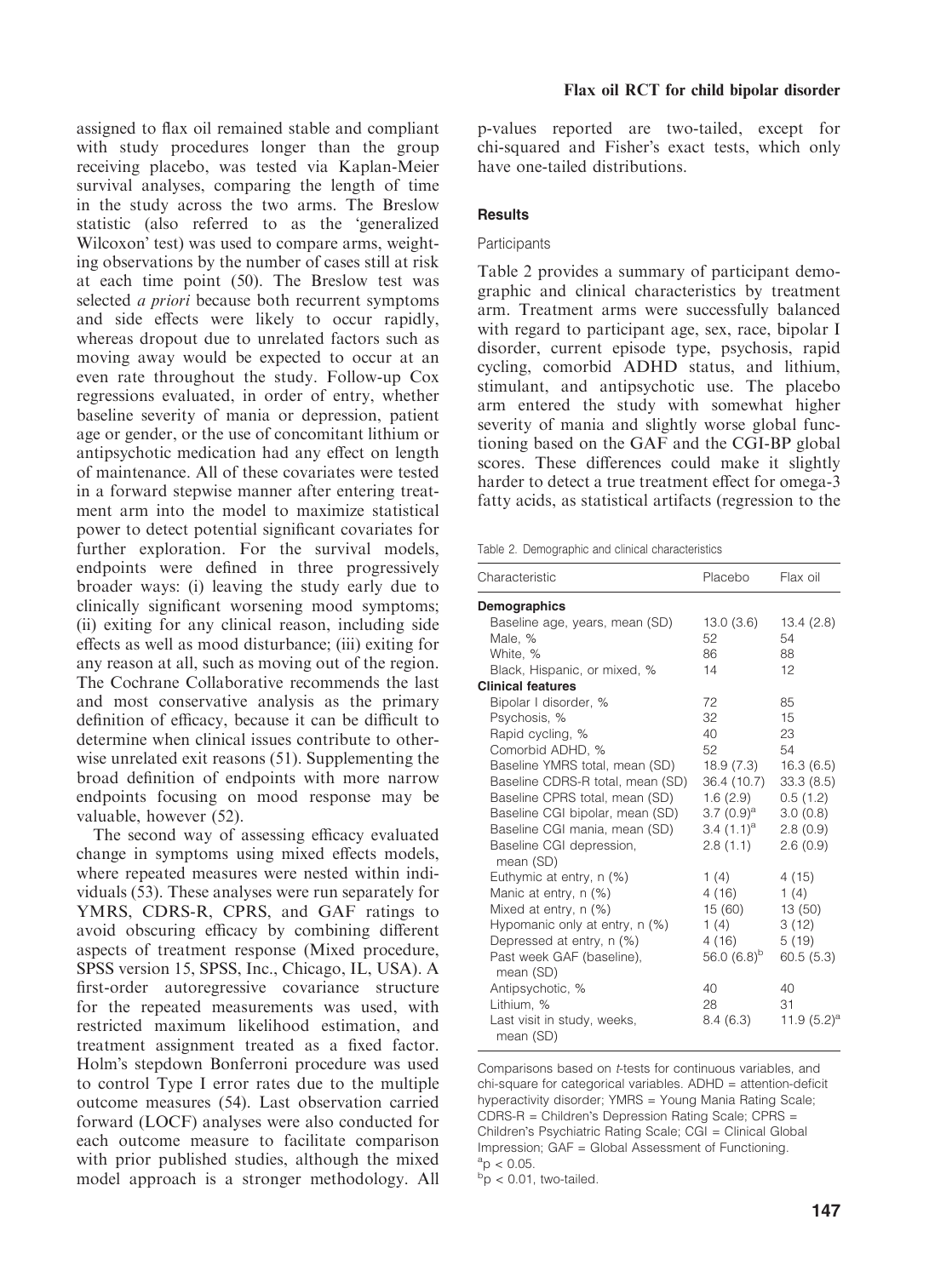assigned to flax oil remained stable and compliant with study procedures longer than the group receiving placebo, was tested via Kaplan-Meier survival analyses, comparing the length of time in the study across the two arms. The Breslow statistic (also referred to as the 'generalized Wilcoxon' test) was used to compare arms, weighting observations by the number of cases still at risk at each time point (50). The Breslow test was selected *a priori* because both recurrent symptoms and side effects were likely to occur rapidly, whereas dropout due to unrelated factors such as moving away would be expected to occur at an even rate throughout the study. Follow-up Cox regressions evaluated, in order of entry, whether baseline severity of mania or depression, patient age or gender, or the use of concomitant lithium or antipsychotic medication had any effect on length of maintenance. All of these covariates were tested in a forward stepwise manner after entering treatment arm into the model to maximize statistical power to detect potential significant covariates for further exploration. For the survival models, endpoints were defined in three progressively broader ways: (i) leaving the study early due to clinically significant worsening mood symptoms; (ii) exiting for any clinical reason, including side effects as well as mood disturbance; (iii) exiting for any reason at all, such as moving out of the region. The Cochrane Collaborative recommends the last and most conservative analysis as the primary definition of efficacy, because it can be difficult to determine when clinical issues contribute to otherwise unrelated exit reasons (51). Supplementing the broad definition of endpoints with more narrow endpoints focusing on mood response may be valuable, however (52).

The second way of assessing efficacy evaluated change in symptoms using mixed effects models, where repeated measures were nested within individuals (53). These analyses were run separately for YMRS, CDRS-R, CPRS, and GAF ratings to avoid obscuring efficacy by combining different aspects of treatment response (Mixed procedure, SPSS version 15, SPSS, Inc., Chicago, IL, USA). A first-order autoregressive covariance structure for the repeated measurements was used, with restricted maximum likelihood estimation, and treatment assignment treated as a fixed factor. Holm's stepdown Bonferroni procedure was used to control Type I error rates due to the multiple outcome measures (54). Last observation carried forward (LOCF) analyses were also conducted for each outcome measure to facilitate comparison with prior published studies, although the mixed model approach is a stronger methodology. All p-values reported are two-tailed, except for chi-squared and Fisher's exact tests, which only have one-tailed distributions.

#### **Results**

#### **Participants**

Table 2 provides a summary of participant demographic and clinical characteristics by treatment arm. Treatment arms were successfully balanced with regard to participant age, sex, race, bipolar I disorder, current episode type, psychosis, rapid cycling, comorbid ADHD status, and lithium, stimulant, and antipsychotic use. The placebo arm entered the study with somewhat higher severity of mania and slightly worse global functioning based on the GAF and the CGI-BP global scores. These differences could make it slightly harder to detect a true treatment effect for omega-3 fatty acids, as statistical artifacts (regression to the

Table 2. Demographic and clinical characteristics

| Characteristic                           | Placebo          | Flax oil       |
|------------------------------------------|------------------|----------------|
| Demographics                             |                  |                |
| Baseline age, years, mean (SD)           | 13.0(3.6)        | 13.4(2.8)      |
| Male, %                                  | 52               | 54             |
| White, %                                 | 86               | 88             |
| Black, Hispanic, or mixed, %             | 14               | 12             |
| <b>Clinical features</b>                 |                  |                |
| Bipolar I disorder, %                    | 72               | 85             |
| Psychosis, %                             | 32               | 15             |
| Rapid cycling, %                         | 40               | 23             |
| Comorbid ADHD, %                         | 52               | 54             |
| Baseline YMRS total, mean (SD)           | 18.9 (7.3)       | 16.3(6.5)      |
| Baseline CDRS-R total, mean (SD)         | 36.4 (10.7)      | 33.3(8.5)      |
| Baseline CPRS total, mean (SD)           | 1.6(2.9)         | 0.5(1.2)       |
| Baseline CGI bipolar, mean (SD)          | 3.7 $(0.9)^a$    | 3.0(0.8)       |
| Baseline CGI mania, mean (SD)            | 3.4 $(1.1)^a$    | 2.8(0.9)       |
| Baseline CGI depression,<br>mean (SD)    | 2.8(1.1)         | 2.6(0.9)       |
| Euthymic at entry, n (%)                 | 1(4)             | 4(15)          |
| Manic at entry, n (%)                    | 4(16)            | 1(4)           |
| Mixed at entry, n (%)                    | 15 (60)          | 13(50)         |
| Hypomanic only at entry, n (%)           | 1(4)             | 3(12)          |
| Depressed at entry, n (%)                | 4(16)            | 5(19)          |
| Past week GAF (baseline),<br>mean (SD)   | 56.0 $(6.8)^{b}$ | 60.5(5.3)      |
| Antipsychotic, %                         | 40               | 40             |
| Lithium, %                               | 28               | 31             |
| Last visit in study, weeks,<br>mean (SD) | 8.4(6.3)         | 11.9 $(5.2)^a$ |

Comparisons based on t-tests for continuous variables, and chi-square for categorical variables. ADHD = attention-deficit hyperactivity disorder; YMRS = Young Mania Rating Scale;  $CDRS-R = Children's \nDeression \nRatina \nScale: \nCPRS =$ Children's Psychiatric Rating Scale; CGI = Clinical Global Impression; GAF = Global Assessment of Functioning.  $a_p < 0.05$ .

 $b$ p < 0.01, two-tailed.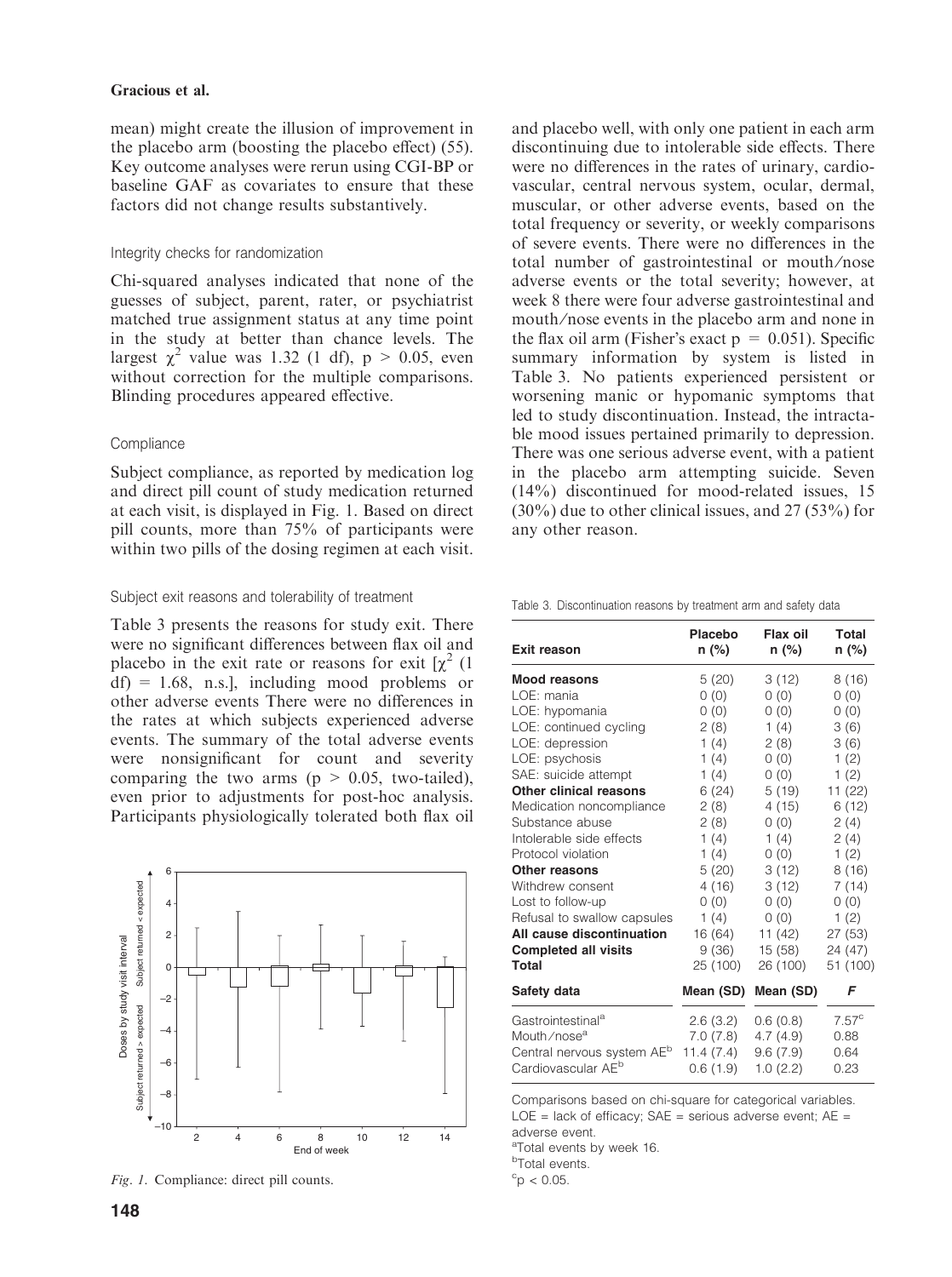#### Gracious et al.

mean) might create the illusion of improvement in the placebo arm (boosting the placebo effect) (55). Key outcome analyses were rerun using CGI-BP or baseline GAF as covariates to ensure that these factors did not change results substantively.

#### Integrity checks for randomization

Chi-squared analyses indicated that none of the guesses of subject, parent, rater, or psychiatrist matched true assignment status at any time point in the study at better than chance levels. The largest  $\chi^2$  value was 1.32 (1 df), p > 0.05, even without correction for the multiple comparisons. Blinding procedures appeared effective.

#### **Compliance**

Subject compliance, as reported by medication log and direct pill count of study medication returned at each visit, is displayed in Fig. 1. Based on direct pill counts, more than 75% of participants were within two pills of the dosing regimen at each visit.

#### Subject exit reasons and tolerability of treatment

Table 3 presents the reasons for study exit. There were no significant differences between flax oil and placebo in the exit rate or reasons for exit  $\left[\chi^2\right]$  (1)  $df$  = 1.68, n.s.], including mood problems or other adverse events There were no differences in the rates at which subjects experienced adverse events. The summary of the total adverse events were nonsignificant for count and severity comparing the two arms ( $p > 0.05$ , two-tailed), even prior to adjustments for post-hoc analysis. Participants physiologically tolerated both flax oil



Fig. 1. Compliance: direct pill counts.

and placebo well, with only one patient in each arm discontinuing due to intolerable side effects. There were no differences in the rates of urinary, cardiovascular, central nervous system, ocular, dermal, muscular, or other adverse events, based on the total frequency or severity, or weekly comparisons of severe events. There were no differences in the total number of gastrointestinal or mouth ⁄nose adverse events or the total severity; however, at week 8 there were four adverse gastrointestinal and mouth ⁄nose events in the placebo arm and none in the flax oil arm (Fisher's exact  $p = 0.051$ ). Specific summary information by system is listed in Table 3. No patients experienced persistent or worsening manic or hypomanic symptoms that led to study discontinuation. Instead, the intractable mood issues pertained primarily to depression. There was one serious adverse event, with a patient in the placebo arm attempting suicide. Seven (14%) discontinued for mood-related issues, 15 (30%) due to other clinical issues, and 27 (53%) for any other reason.

Table 3. Discontinuation reasons by treatment arm and safety data

| <b>Exit reason</b>                     | Placebo   | Flax oil  | <b>Total</b>   |
|----------------------------------------|-----------|-----------|----------------|
|                                        | n (%)     | n (%)     | n (%)          |
| <b>Mood reasons</b>                    | 5(20)     | 3(12)     | 8(16)          |
| LOE: mania                             | 0(0)      | 0(0)      | 0(0)           |
| LOE: hypomania                         | 0(0)      | 0(0)      | 0(0)           |
| LOE: continued cycling                 | 2(8)      | 1(4)      | 3(6)           |
| LOE: depression                        | 1(4)      | 2(8)      | 3(6)           |
| LOE: psychosis                         | 1(4)      | 0(0)      | 1(2)           |
| SAE: suicide attempt                   | 1(4)      | 0(0)      | 1(2)           |
| Other clinical reasons                 | 6(24)     | 5(19)     | 11(22)         |
| Medication noncompliance               | 2(8)      | 4 (15)    | 6(12)          |
| Substance abuse                        | 2(8)      | 0(0)      | 2(4)           |
| Intolerable side effects               | 1(4)      | 1(4)      | 2(4)           |
| Protocol violation                     | 1(4)      | 0(0)      | 1(2)           |
| Other reasons                          | 5(20)     | 3(12)     | 8(16)          |
| Withdrew consent                       | 4(16)     | 3(12)     | 7(14)          |
| Lost to follow-up                      | 0(0)      | 0(0)      | 0(0)           |
| Refusal to swallow capsules            | 1 $(4)$   | 0(0)      | 1(2)           |
| All cause discontinuation              | 16 (64)   | 11 $(42)$ | 27(53)         |
| <b>Completed all visits</b>            | 9(36)     | 15(58)    | 24 (47)        |
| Total                                  | 25 (100)  | 26 (100)  | 51 (100)       |
| Safety data                            | Mean (SD) | Mean (SD) | F              |
| Gastrointestinal <sup>a</sup>          | 2.6(3.2)  | 0.6(0.8)  | $7.57^{\circ}$ |
| Mouth/nose <sup>a</sup>                | 7.0 (7.8) | 4.7(4.9)  | 0.88           |
| Central nervous system AE <sup>b</sup> | 11.4(7.4) | 9.6(7.9)  | 0.64           |
| Cardiovascular AE <sup>b</sup>         | 0.6(1.9)  | 1.0(2.2)  | 0.23           |

Comparisons based on chi-square for categorical variables.  $LOE$  = lack of efficacy;  $SAE$  = serious adverse event;  $AE$  = adverse event.

aTotal events by week 16.

<sup>b</sup>Total events.

 $\mathrm{^{c}p}$  < 0.05.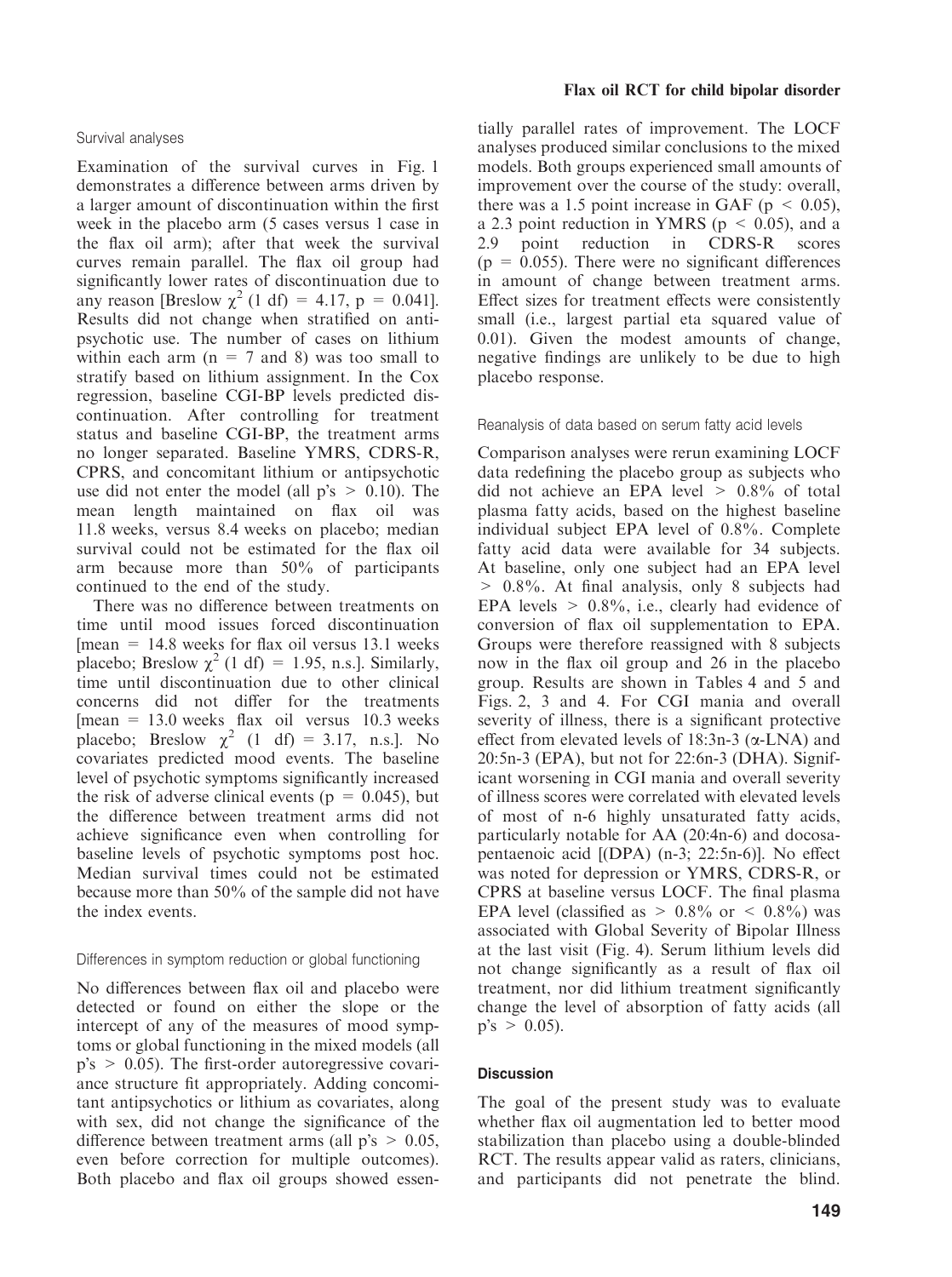# Survival analyses

Examination of the survival curves in Fig. 1 demonstrates a difference between arms driven by a larger amount of discontinuation within the first week in the placebo arm (5 cases versus 1 case in the flax oil arm); after that week the survival curves remain parallel. The flax oil group had significantly lower rates of discontinuation due to any reason [Breslow  $\chi^2$  (1 df) = 4.17, p = 0.041]. Results did not change when stratified on antipsychotic use. The number of cases on lithium within each arm  $(n = 7$  and 8) was too small to stratify based on lithium assignment. In the Cox regression, baseline CGI-BP levels predicted discontinuation. After controlling for treatment status and baseline CGI-BP, the treatment arms no longer separated. Baseline YMRS, CDRS-R, CPRS, and concomitant lithium or antipsychotic use did not enter the model (all  $p's > 0.10$ ). The mean length maintained on flax oil was 11.8 weeks, versus 8.4 weeks on placebo; median survival could not be estimated for the flax oil arm because more than 50% of participants continued to the end of the study.

There was no difference between treatments on time until mood issues forced discontinuation  $[mean = 14.8$  weeks for flax oil versus 13.1 weeks placebo; Breslow  $\chi^2$  (1 df) = 1.95, n.s.]. Similarly, time until discontinuation due to other clinical concerns did not differ for the treatments  $[mean = 13.0$  weeks flax oil versus 10.3 weeks placebo; Breslow  $\chi^2$  (1 df) = 3.17, n.s.]. No covariates predicted mood events. The baseline level of psychotic symptoms significantly increased the risk of adverse clinical events ( $p = 0.045$ ), but the difference between treatment arms did not achieve significance even when controlling for baseline levels of psychotic symptoms post hoc. Median survival times could not be estimated because more than 50% of the sample did not have the index events.

#### Differences in symptom reduction or global functioning

No differences between flax oil and placebo were detected or found on either the slope or the intercept of any of the measures of mood symptoms or global functioning in the mixed models (all  $p's > 0.05$ ). The first-order autoregressive covariance structure fit appropriately. Adding concomitant antipsychotics or lithium as covariates, along with sex, did not change the significance of the difference between treatment arms (all  $p's > 0.05$ , even before correction for multiple outcomes). Both placebo and flax oil groups showed essen-

#### Flax oil RCT for child bipolar disorder

tially parallel rates of improvement. The LOCF analyses produced similar conclusions to the mixed models. Both groups experienced small amounts of improvement over the course of the study: overall, there was a 1.5 point increase in GAF ( $p \le 0.05$ ), a 2.3 point reduction in YMRS ( $p \le 0.05$ ), and a 2.9 point reduction in CDRS-R scores  $(p = 0.055)$ . There were no significant differences in amount of change between treatment arms. Effect sizes for treatment effects were consistently small (i.e., largest partial eta squared value of 0.01). Given the modest amounts of change, negative findings are unlikely to be due to high placebo response.

#### Reanalysis of data based on serum fatty acid levels

Comparison analyses were rerun examining LOCF data redefining the placebo group as subjects who did not achieve an EPA level  $> 0.8\%$  of total plasma fatty acids, based on the highest baseline individual subject EPA level of 0.8%. Complete fatty acid data were available for 34 subjects. At baseline, only one subject had an EPA level > 0.8%. At final analysis, only 8 subjects had EPA levels  $> 0.8\%$ , i.e., clearly had evidence of conversion of flax oil supplementation to EPA. Groups were therefore reassigned with 8 subjects now in the flax oil group and 26 in the placebo group. Results are shown in Tables 4 and 5 and Figs. 2, 3 and 4. For CGI mania and overall severity of illness, there is a significant protective effect from elevated levels of  $18:3n-3$  ( $\alpha$ -LNA) and 20:5n-3 (EPA), but not for 22:6n-3 (DHA). Significant worsening in CGI mania and overall severity of illness scores were correlated with elevated levels of most of n-6 highly unsaturated fatty acids, particularly notable for AA (20:4n-6) and docosapentaenoic acid [(DPA) (n-3; 22:5n-6)]. No effect was noted for depression or YMRS, CDRS-R, or CPRS at baseline versus LOCF. The final plasma EPA level (classified as  $> 0.8\%$  or  $< 0.8\%$ ) was associated with Global Severity of Bipolar Illness at the last visit (Fig. 4). Serum lithium levels did not change significantly as a result of flax oil treatment, nor did lithium treatment significantly change the level of absorption of fatty acids (all  $p's > 0.05$ ).

#### **Discussion**

The goal of the present study was to evaluate whether flax oil augmentation led to better mood stabilization than placebo using a double-blinded RCT. The results appear valid as raters, clinicians, and participants did not penetrate the blind.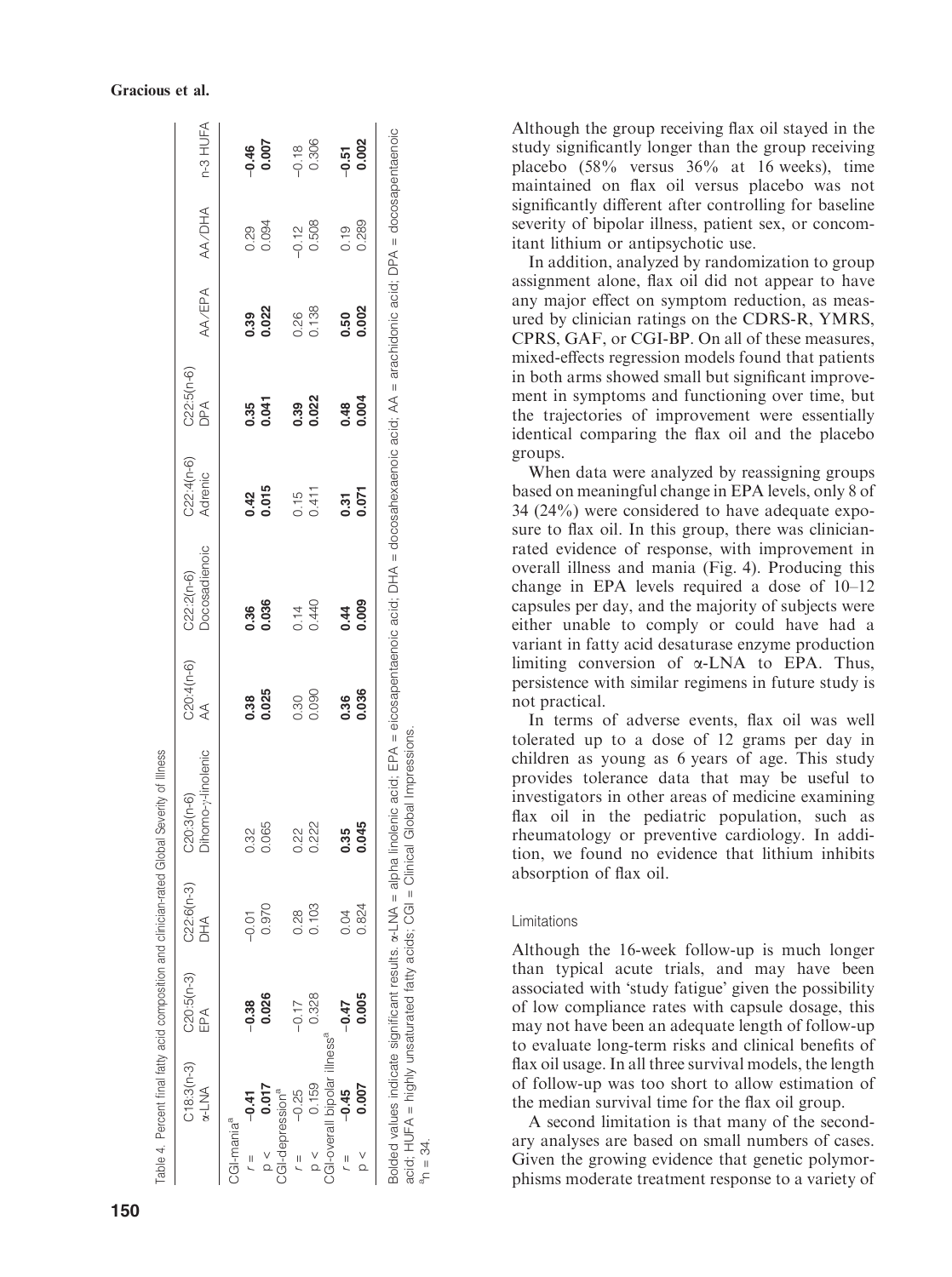|                        | $C18:3(n-3)$<br>$\alpha$ -LNA            | $C20:5(n-3)$<br>EPA | $C22:6(n-3)$<br>DHA<br>D | Dihomo-y-linolenic<br>$C20:3(n-6)$ | C20:4(n-6)<br>$\preccurlyeq$ | Docosadienoic<br>$C22:2(n-6)$ | $C22:4(n-6)$<br>Adrenic | $C22:5(n-6)$<br>DPA | AA/EPA        | AA/DHA  | n-3 HUFA           |
|------------------------|------------------------------------------|---------------------|--------------------------|------------------------------------|------------------------------|-------------------------------|-------------------------|---------------------|---------------|---------|--------------------|
| CGI-mania <sup>a</sup> |                                          |                     |                          |                                    |                              |                               |                         |                     |               |         |                    |
| $\overline{a}$         | $-0.41$                                  | $-0.38$             | $-0.01$                  | 0.32                               |                              | 0.36                          |                         | 0.35                |               | 0.29    |                    |
|                        | 0.017                                    | 0.026               | 0.970                    | 0.065                              | 0.38<br>0.025                | 0.036                         | $0.42$<br>$0.015$       | 0.041               | 0.39<br>0.022 | 0.094   | $-0.46$<br>0.007   |
|                        | CGI-depression <sup>a</sup>              |                     |                          |                                    |                              |                               |                         |                     |               |         |                    |
| $\overline{a}$         | $-0.25$                                  | $-0.17$             | 0.28                     | 2<br>20                            | 0.30                         | 0.14                          | 0.15                    | 0.39                | 0.26          | $-0.12$ | $-0.18$            |
| $\frac{1}{2}$          | 0.159                                    | 0.328               | 0.103                    | 0.222                              | 0.090                        | 0.440                         | 0.411                   | 0.022               | 0.138         | 0.508   | 0.306              |
|                        | CGI-overall bipolar illness <sup>a</sup> |                     |                          |                                    |                              |                               |                         |                     |               |         |                    |
| $\overline{a}$         | $-0.45$                                  | $-0.47$             | 0.04                     | 0.35                               | 0.36                         | 0.44                          | $\overline{0.31}$       | 0.48                | 0.50          | 0.19    |                    |
| $\frac{1}{2}$          | 0.007                                    | 0.005               | 0.824                    | <u>ਰ</u>                           | 0.036                        | 0.009                         | 0.071                   | 0.004               | 0.002         | 0.289   | $-0.51$<br>$0.002$ |
|                        |                                          |                     |                          |                                    |                              |                               |                         |                     |               |         |                    |

Although the group receiving flax oil stayed in the study significantly longer than the group receiving placebo (58% versus 36% at 16 weeks), time maintained on flax oil versus placebo was not significantly different after controlling for baseline severity of bipolar illness, patient sex, or concomitant lithium or antipsychotic use.

In addition, analyzed by randomization to group assignment alone, flax oil did not appear to have any major effect on symptom reduction, as measured by clinician ratings on the CDRS-R, YMRS, CPRS, GAF, or CGI-BP. On all of these measures, mixed-effects regression models found that patients in both arms showed small but significant improvement in symptoms and functioning over time, but the trajectories of improvement were essentially identical comparing the flax oil and the placebo groups.

When data were analyzed by reassigning groups based on meaningful change in EPA levels, only 8 of 34 (24%) were considered to have adequate exposure to flax oil. In this group, there was clinicianrated evidence of response, with improvement in overall illness and mania (Fig. 4). Producing this change in EPA levels required a dose of 10–12 capsules per day, and the majority of subjects were either unable to comply or could have had a variant in fatty acid desaturase enzyme production limiting conversion of  $\alpha$ -LNA to EPA. Thus, persistence with similar regimens in future study is not practical.

In terms of adverse events, flax oil was well tolerated up to a dose of 12 grams per day in children as young as 6 years of age. This study provides tolerance data that may be useful to investigators in other areas of medicine examining flax oil in the pediatric population, such as rheumatology or preventive cardiology. In addition, we found no evidence that lithium inhibits absorption of flax oil.

# Limitations

 $a_n = 34.$ 

Although the 16-week follow-up is much longer than typical acute trials, and may have been associated with 'study fatigue' given the possibility of low compliance rates with capsule dosage, this may not have been an adequate length of follow-up to evaluate long-term risks and clinical benefits of flax oil usage. In all three survival models, the length of follow-up was too short to allow estimation of the median survival time for the flax oil group.

A second limitation is that many of the secondary analyses are based on small numbers of cases. Given the growing evidence that genetic polymorphisms moderate treatment response to a variety of

#### Gracious et al.

Table 4. Percent final fatty acid composition and clinician-rated Global Severity of Illness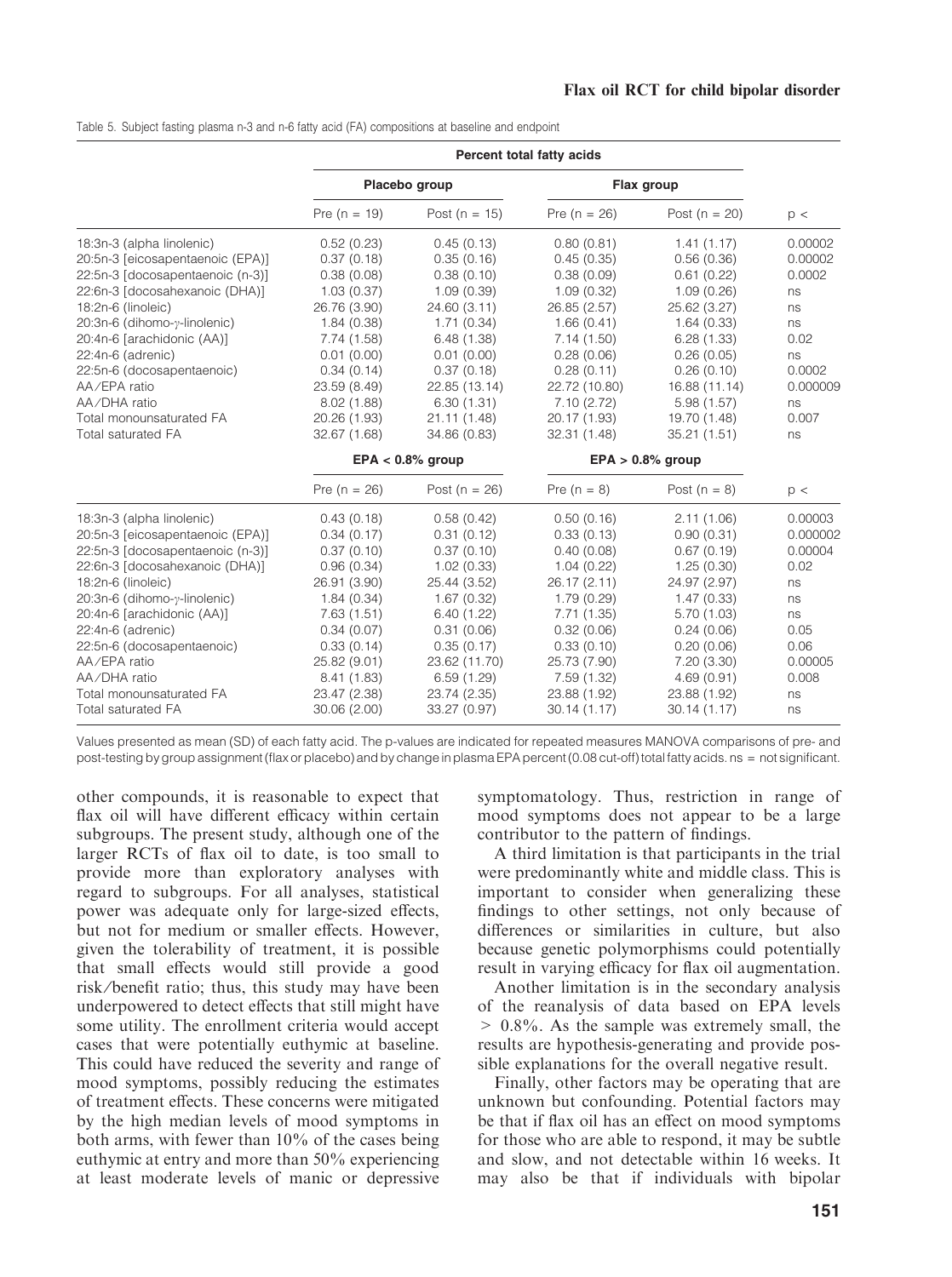Table 5. Subject fasting plasma n-3 and n-6 fatty acid (FA) compositions at baseline and endpoint

|                                                                                                                                                                                                                                                                                                                                                                     | Percent total fatty acids                                                                                                                                                                   |                                                                                                                                                                                             |                                                                                                                                                                                             |                                                                                                                                                                                             |                                                                                                          |
|---------------------------------------------------------------------------------------------------------------------------------------------------------------------------------------------------------------------------------------------------------------------------------------------------------------------------------------------------------------------|---------------------------------------------------------------------------------------------------------------------------------------------------------------------------------------------|---------------------------------------------------------------------------------------------------------------------------------------------------------------------------------------------|---------------------------------------------------------------------------------------------------------------------------------------------------------------------------------------------|---------------------------------------------------------------------------------------------------------------------------------------------------------------------------------------------|----------------------------------------------------------------------------------------------------------|
|                                                                                                                                                                                                                                                                                                                                                                     | Placebo group                                                                                                                                                                               |                                                                                                                                                                                             | Flax group                                                                                                                                                                                  |                                                                                                                                                                                             |                                                                                                          |
|                                                                                                                                                                                                                                                                                                                                                                     | Pre $(n = 19)$                                                                                                                                                                              | Post ( $n = 15$ )                                                                                                                                                                           | Pre $(n = 26)$                                                                                                                                                                              | Post ( $n = 20$ )                                                                                                                                                                           | p <                                                                                                      |
| 18:3n-3 (alpha linolenic)<br>20:5n-3 [eicosapentaenoic (EPA)]<br>22:5n-3 [docosapentaenoic (n-3)]<br>22:6n-3 [docosahexanoic (DHA)]<br>18:2n-6 (linoleic)<br>20:3n-6 (dihomo-y-linolenic)<br>20:4n-6 [arachidonic (AA)]<br>22:4n-6 (adrenic)<br>22:5n-6 (docosapentaenoic)<br>AA/EPA ratio<br>AA/DHA ratio<br>Total monounsaturated FA<br>Total saturated FA        | 0.52(0.23)<br>0.37(0.18)<br>0.38(0.08)<br>1.03(0.37)<br>26.76 (3.90)<br>1.84(0.38)<br>7.74(1.58)<br>0.01(0.00)<br>0.34(0.14)<br>23.59 (8.49)<br>8.02(1.88)<br>20.26 (1.93)<br>32.67 (1.68)  | 0.45(0.13)<br>0.35(0.16)<br>0.38(0.10)<br>1.09(0.39)<br>24.60 (3.11)<br>1.71(0.34)<br>6.48(1.38)<br>0.01(0.00)<br>0.37(0.18)<br>22.85 (13.14)<br>6.30(1.31)<br>21.11 (1.48)<br>34.86 (0.83) | 0.80(0.81)<br>0.45(0.35)<br>0.38(0.09)<br>1.09(0.32)<br>26.85 (2.57)<br>1.66(0.41)<br>7.14(1.50)<br>0.28(0.06)<br>0.28(0.11)<br>22.72 (10.80)<br>7.10(2.72)<br>20.17 (1.93)<br>32.31 (1.48) | 1.41(1.17)<br>0.56(0.36)<br>0.61(0.22)<br>1.09(0.26)<br>25.62 (3.27)<br>1.64(0.33)<br>6.28(1.33)<br>0.26(0.05)<br>0.26(0.10)<br>16.88 (11.14)<br>5.98(1.57)<br>19.70 (1.48)<br>35.21 (1.51) | 0.00002<br>0.00002<br>0.0002<br>ns<br>ns<br>ns<br>0.02<br>ns<br>0.0002<br>0.000009<br>ns<br>0.007<br>ns  |
|                                                                                                                                                                                                                                                                                                                                                                     | $EPA < 0.8\%$ group                                                                                                                                                                         |                                                                                                                                                                                             |                                                                                                                                                                                             | $EPA > 0.8\%$ group                                                                                                                                                                         |                                                                                                          |
|                                                                                                                                                                                                                                                                                                                                                                     | Pre ( $n = 26$ )                                                                                                                                                                            | Post ( $n = 26$ )                                                                                                                                                                           | Pre $(n = 8)$                                                                                                                                                                               | Post $(n = 8)$                                                                                                                                                                              | p <                                                                                                      |
| 18:3n-3 (alpha linolenic)<br>20:5n-3 [eicosapentaenoic (EPA)]<br>22:5n-3 [docosapentaenoic (n-3)]<br>22:6n-3 [docosahexanoic (DHA)]<br>18:2n-6 (linoleic)<br>20:3n-6 (dihomo-γ-linolenic)<br>20:4n-6 [arachidonic (AA)]<br>22:4n-6 (adrenic)<br>22:5n-6 (docosapentaenoic)<br>AA/EPA ratio<br>AA/DHA ratio<br>Total monounsaturated FA<br><b>Total saturated FA</b> | 0.43(0.18)<br>0.34(0.17)<br>0.37(0.10)<br>0.96(0.34)<br>26.91 (3.90)<br>1.84(0.34)<br>7.63(1.51)<br>0.34(0.07)<br>0.33(0.14)<br>25.82 (9.01)<br>8.41 (1.83)<br>23.47 (2.38)<br>30.06 (2.00) | 0.58(0.42)<br>0.31(0.12)<br>0.37(0.10)<br>1.02(0.33)<br>25.44 (3.52)<br>1.67(0.32)<br>6.40(1.22)<br>0.31(0.06)<br>0.35(0.17)<br>23.62 (11.70)<br>6.59(1.29)<br>23.74 (2.35)<br>33.27 (0.97) | 0.50(0.16)<br>0.33(0.13)<br>0.40(0.08)<br>1.04(0.22)<br>26.17 (2.11)<br>1.79(0.29)<br>7.71(1.35)<br>0.32(0.06)<br>0.33(0.10)<br>25.73 (7.90)<br>7.59(1.32)<br>23.88 (1.92)<br>30.14(1.17)   | 2.11(1.06)<br>0.90(0.31)<br>0.67(0.19)<br>1.25(0.30)<br>24.97 (2.97)<br>1.47(0.33)<br>5.70(1.03)<br>0.24(0.06)<br>0.20(0.06)<br>7.20(3.30)<br>4.69 (0.91)<br>23.88 (1.92)<br>30.14(1.17)    | 0.00003<br>0.000002<br>0.00004<br>0.02<br>ns<br>ns<br>ns<br>0.05<br>0.06<br>0.00005<br>0.008<br>ns<br>ns |

Values presented as mean (SD) of each fatty acid. The p-values are indicated for repeated measures MANOVA comparisons of pre- and post-testing by group assignment (flax or placebo) and by change in plasma EPA percent (0.08 cut-off) total fatty acids. ns = not significant.

other compounds, it is reasonable to expect that flax oil will have different efficacy within certain subgroups. The present study, although one of the larger RCTs of flax oil to date, is too small to provide more than exploratory analyses with regard to subgroups. For all analyses, statistical power was adequate only for large-sized effects, but not for medium or smaller effects. However, given the tolerability of treatment, it is possible that small effects would still provide a good risk ⁄benefit ratio; thus, this study may have been underpowered to detect effects that still might have some utility. The enrollment criteria would accept cases that were potentially euthymic at baseline. This could have reduced the severity and range of mood symptoms, possibly reducing the estimates of treatment effects. These concerns were mitigated by the high median levels of mood symptoms in both arms, with fewer than 10% of the cases being euthymic at entry and more than 50% experiencing at least moderate levels of manic or depressive

symptomatology. Thus, restriction in range of mood symptoms does not appear to be a large contributor to the pattern of findings.

A third limitation is that participants in the trial were predominantly white and middle class. This is important to consider when generalizing these findings to other settings, not only because of differences or similarities in culture, but also because genetic polymorphisms could potentially result in varying efficacy for flax oil augmentation.

Another limitation is in the secondary analysis of the reanalysis of data based on EPA levels > 0.8%. As the sample was extremely small, the results are hypothesis-generating and provide possible explanations for the overall negative result.

Finally, other factors may be operating that are unknown but confounding. Potential factors may be that if flax oil has an effect on mood symptoms for those who are able to respond, it may be subtle and slow, and not detectable within 16 weeks. It may also be that if individuals with bipolar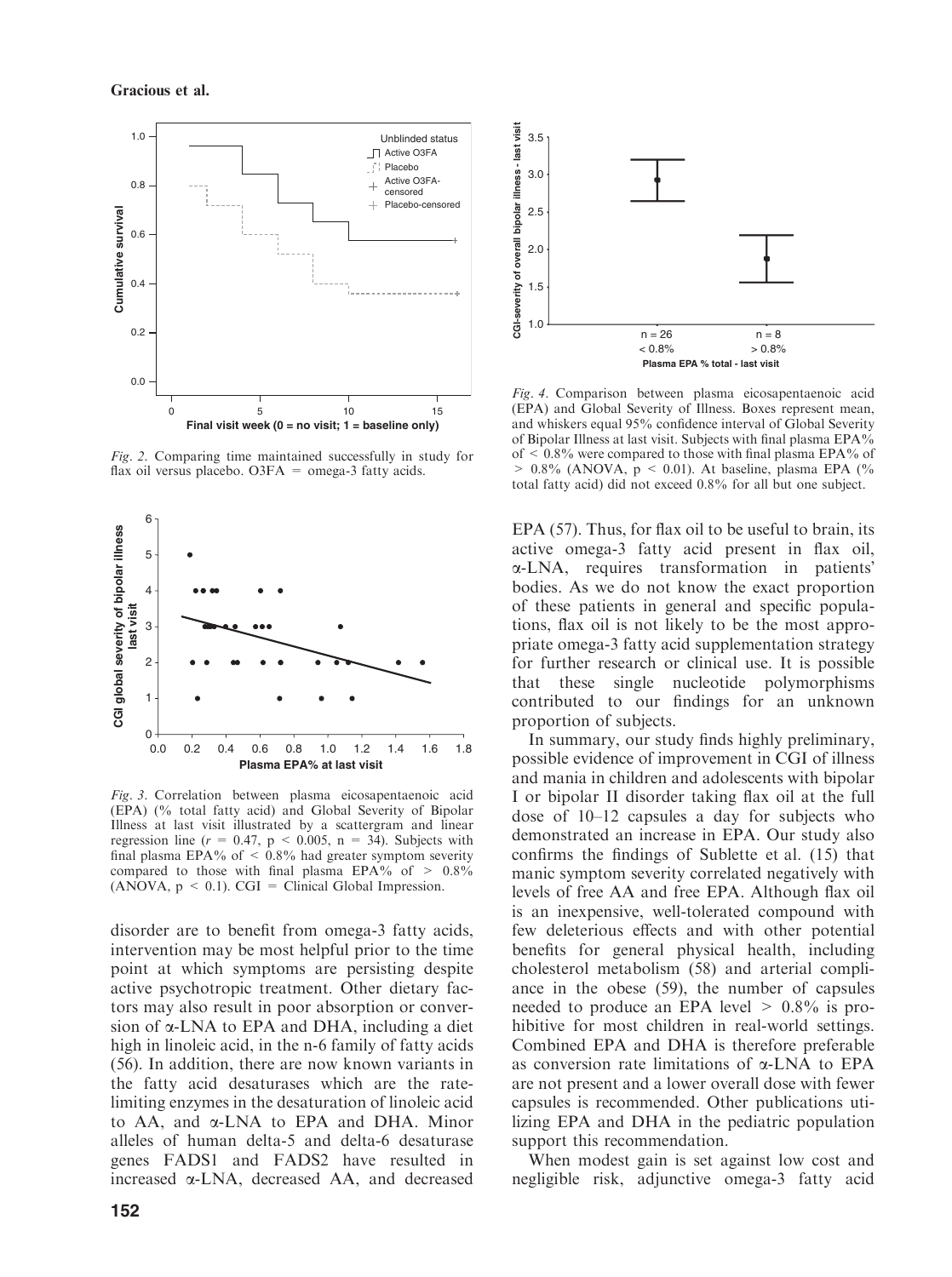

Fig. 2. Comparing time maintained successfully in study for flax oil versus placebo. O3FA = omega-3 fatty acids.



Fig. 3. Correlation between plasma eicosapentaenoic acid (EPA) (% total fatty acid) and Global Severity of Bipolar Illness at last visit illustrated by a scattergram and linear regression line ( $r = 0.47$ ,  $p < 0.005$ ,  $n = 34$ ). Subjects with final plasma EPA% of  $\leq$  0.8% had greater symptom severity compared to those with final plasma EPA% of  $> 0.8\%$  $(ANOVA, p \le 0.1)$ . CGI = Clinical Global Impression.

disorder are to benefit from omega-3 fatty acids, intervention may be most helpful prior to the time point at which symptoms are persisting despite active psychotropic treatment. Other dietary factors may also result in poor absorption or conversion of  $\alpha$ -LNA to EPA and DHA, including a diet high in linoleic acid, in the n-6 family of fatty acids (56). In addition, there are now known variants in the fatty acid desaturases which are the ratelimiting enzymes in the desaturation of linoleic acid to AA, and a-LNA to EPA and DHA. Minor alleles of human delta-5 and delta-6 desaturase genes FADS1 and FADS2 have resulted in increased a-LNA, decreased AA, and decreased



Fig. 4. Comparison between plasma eicosapentaenoic acid (EPA) and Global Severity of Illness. Boxes represent mean, and whiskers equal 95% confidence interval of Global Severity of Bipolar Illness at last visit. Subjects with final plasma EPA% of < 0.8% were compared to those with final plasma EPA% of  $> 0.8\%$  (ANOVA, p < 0.01). At baseline, plasma EPA (% total fatty acid) did not exceed 0.8% for all but one subject.

EPA (57). Thus, for flax oil to be useful to brain, its active omega-3 fatty acid present in flax oil, a-LNA, requires transformation in patients bodies. As we do not know the exact proportion of these patients in general and specific populations, flax oil is not likely to be the most appropriate omega-3 fatty acid supplementation strategy for further research or clinical use. It is possible that these single nucleotide polymorphisms contributed to our findings for an unknown proportion of subjects.

In summary, our study finds highly preliminary, possible evidence of improvement in CGI of illness and mania in children and adolescents with bipolar I or bipolar II disorder taking flax oil at the full dose of 10–12 capsules a day for subjects who demonstrated an increase in EPA. Our study also confirms the findings of Sublette et al. (15) that manic symptom severity correlated negatively with levels of free AA and free EPA. Although flax oil is an inexpensive, well-tolerated compound with few deleterious effects and with other potential benefits for general physical health, including cholesterol metabolism (58) and arterial compliance in the obese (59), the number of capsules needed to produce an EPA level  $> 0.8\%$  is prohibitive for most children in real-world settings. Combined EPA and DHA is therefore preferable as conversion rate limitations of  $\alpha$ -LNA to EPA are not present and a lower overall dose with fewer capsules is recommended. Other publications utilizing EPA and DHA in the pediatric population support this recommendation.

When modest gain is set against low cost and negligible risk, adjunctive omega-3 fatty acid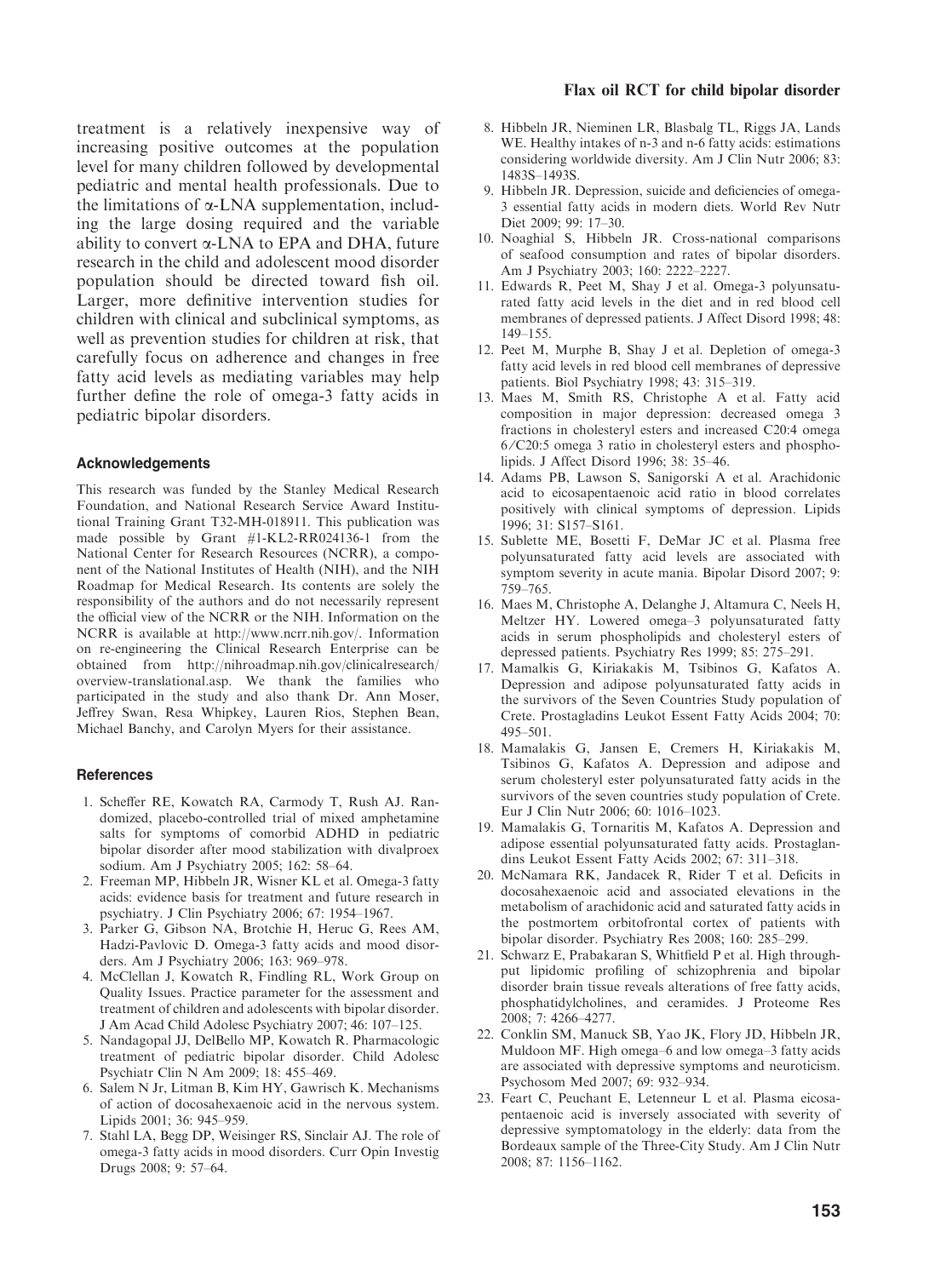treatment is a relatively inexpensive way of increasing positive outcomes at the population level for many children followed by developmental pediatric and mental health professionals. Due to the limitations of  $\alpha$ -LNA supplementation, including the large dosing required and the variable ability to convert  $\alpha$ -LNA to EPA and DHA, future research in the child and adolescent mood disorder population should be directed toward fish oil. Larger, more definitive intervention studies for children with clinical and subclinical symptoms, as well as prevention studies for children at risk, that carefully focus on adherence and changes in free fatty acid levels as mediating variables may help further define the role of omega-3 fatty acids in pediatric bipolar disorders.

#### Acknowledgements

This research was funded by the Stanley Medical Research Foundation, and National Research Service Award Institutional Training Grant T32-MH-018911. This publication was made possible by Grant #1-KL2-RR024136-1 from the National Center for Research Resources (NCRR), a component of the National Institutes of Health (NIH), and the NIH Roadmap for Medical Research. Its contents are solely the responsibility of the authors and do not necessarily represent the official view of the NCRR or the NIH. Information on the NCRR is available at http://www.ncrr.nih.gov/. Information on re-engineering the Clinical Research Enterprise can be obtained from http://nihroadmap.nih.gov/clinicalresearch/ overview-translational.asp. We thank the families who participated in the study and also thank Dr. Ann Moser, Jeffrey Swan, Resa Whipkey, Lauren Rios, Stephen Bean, Michael Banchy, and Carolyn Myers for their assistance.

#### **References**

- 1. Scheffer RE, Kowatch RA, Carmody T, Rush AJ. Randomized, placebo-controlled trial of mixed amphetamine salts for symptoms of comorbid ADHD in pediatric bipolar disorder after mood stabilization with divalproex sodium. Am J Psychiatry 2005; 162: 58–64.
- 2. Freeman MP, Hibbeln JR, Wisner KL et al. Omega-3 fatty acids: evidence basis for treatment and future research in psychiatry. J Clin Psychiatry 2006; 67: 1954–1967.
- 3. Parker G, Gibson NA, Brotchie H, Heruc G, Rees AM, Hadzi-Pavlovic D. Omega-3 fatty acids and mood disorders. Am J Psychiatry 2006; 163: 969–978.
- 4. McClellan J, Kowatch R, Findling RL, Work Group on Quality Issues. Practice parameter for the assessment and treatment of children and adolescents with bipolar disorder. J Am Acad Child Adolesc Psychiatry 2007; 46: 107–125.
- 5. Nandagopal JJ, DelBello MP, Kowatch R. Pharmacologic treatment of pediatric bipolar disorder. Child Adolesc Psychiatr Clin N Am 2009; 18: 455–469.
- 6. Salem N Jr, Litman B, Kim HY, Gawrisch K. Mechanisms of action of docosahexaenoic acid in the nervous system. Lipids 2001; 36: 945–959.
- 7. Stahl LA, Begg DP, Weisinger RS, Sinclair AJ. The role of omega-3 fatty acids in mood disorders. Curr Opin Investig Drugs 2008; 9: 57–64.

#### Flax oil RCT for child bipolar disorder

- 8. Hibbeln JR, Nieminen LR, Blasbalg TL, Riggs JA, Lands WE. Healthy intakes of n-3 and n-6 fatty acids: estimations considering worldwide diversity. Am J Clin Nutr 2006; 83: 1483S–1493S.
- 9. Hibbeln JR. Depression, suicide and deficiencies of omega-3 essential fatty acids in modern diets. World Rev Nutr Diet 2009; 99: 17–30.
- 10. Noaghial S, Hibbeln JR. Cross-national comparisons of seafood consumption and rates of bipolar disorders. Am J Psychiatry 2003; 160: 2222–2227.
- 11. Edwards R, Peet M, Shay J et al. Omega-3 polyunsaturated fatty acid levels in the diet and in red blood cell membranes of depressed patients. J Affect Disord 1998; 48: 149–155.
- 12. Peet M, Murphe B, Shay J et al. Depletion of omega-3 fatty acid levels in red blood cell membranes of depressive patients. Biol Psychiatry 1998; 43: 315–319.
- 13. Maes M, Smith RS, Christophe A et al. Fatty acid composition in major depression: decreased omega 3 fractions in cholesteryl esters and increased C20:4 omega 6 ⁄ C20:5 omega 3 ratio in cholesteryl esters and phospholipids. J Affect Disord 1996; 38: 35–46.
- 14. Adams PB, Lawson S, Sanigorski A et al. Arachidonic acid to eicosapentaenoic acid ratio in blood correlates positively with clinical symptoms of depression. Lipids 1996; 31: S157–S161.
- 15. Sublette ME, Bosetti F, DeMar JC et al. Plasma free polyunsaturated fatty acid levels are associated with symptom severity in acute mania. Bipolar Disord 2007; 9: 759–765.
- 16. Maes M, Christophe A, Delanghe J, Altamura C, Neels H, Meltzer HY. Lowered omega–3 polyunsaturated fatty acids in serum phospholipids and cholesteryl esters of depressed patients. Psychiatry Res 1999; 85: 275–291.
- 17. Mamalkis G, Kiriakakis M, Tsibinos G, Kafatos A. Depression and adipose polyunsaturated fatty acids in the survivors of the Seven Countries Study population of Crete. Prostagladins Leukot Essent Fatty Acids 2004; 70: 495–501.
- 18. Mamalakis G, Jansen E, Cremers H, Kiriakakis M, Tsibinos G, Kafatos A. Depression and adipose and serum cholesteryl ester polyunsaturated fatty acids in the survivors of the seven countries study population of Crete. Eur J Clin Nutr 2006; 60: 1016–1023.
- 19. Mamalakis G, Tornaritis M, Kafatos A. Depression and adipose essential polyunsaturated fatty acids. Prostaglandins Leukot Essent Fatty Acids 2002; 67: 311–318.
- 20. McNamara RK, Jandacek R, Rider T et al. Deficits in docosahexaenoic acid and associated elevations in the metabolism of arachidonic acid and saturated fatty acids in the postmortem orbitofrontal cortex of patients with bipolar disorder. Psychiatry Res 2008; 160: 285–299.
- 21. Schwarz E, Prabakaran S, Whitfield P et al. High throughput lipidomic profiling of schizophrenia and bipolar disorder brain tissue reveals alterations of free fatty acids, phosphatidylcholines, and ceramides. J Proteome Res 2008; 7: 4266–4277.
- 22. Conklin SM, Manuck SB, Yao JK, Flory JD, Hibbeln JR, Muldoon MF. High omega–6 and low omega–3 fatty acids are associated with depressive symptoms and neuroticism. Psychosom Med 2007; 69: 932–934.
- 23. Feart C, Peuchant E, Letenneur L et al. Plasma eicosapentaenoic acid is inversely associated with severity of depressive symptomatology in the elderly: data from the Bordeaux sample of the Three-City Study. Am J Clin Nutr 2008; 87: 1156–1162.